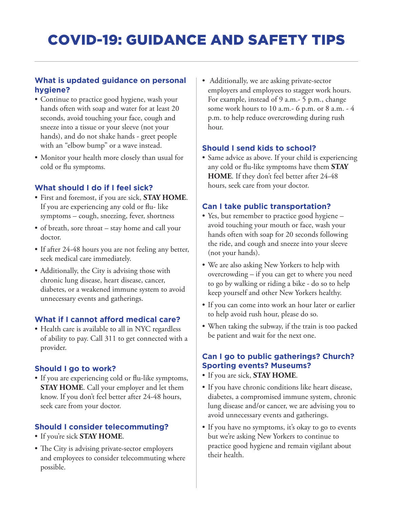## **What is updated guidance on personal hygiene?**

- Continue to practice good hygiene, wash your hands often with soap and water for at least 20 seconds, avoid touching your face, cough and sneeze into a tissue or your sleeve (not your hands), and do not shake hands - greet people with an "elbow bump" or a wave instead.
- Monitor your health more closely than usual for cold or flu symptoms.

## **What should I do if I feel sick?**

- First and foremost, if you are sick, **STAY HOME**. If you are experiencing any cold or flu- like symptoms – cough, sneezing, fever, shortness
- of breath, sore throat stay home and call your doctor.
- If after 24-48 hours you are not feeling any better, seek medical care immediately.
- Additionally, the City is advising those with chronic lung disease, heart disease, cancer, diabetes, or a weakened immune system to avoid unnecessary events and gatherings.

## **What if I cannot afford medical care?**

• Health care is available to all in NYC regardless of ability to pay. Call 311 to get connected with a provider.

## **Should I go to work?**

• If you are experiencing cold or flu-like symptoms, **STAY HOME**. Call your employer and let them know. If you don't feel better after 24-48 hours, seek care from your doctor.

# **Should I consider telecommuting?**

- If you're sick **STAY HOME**.
- The City is advising private-sector employers and employees to consider telecommuting where possible.

• Additionally, we are asking private-sector employers and employees to stagger work hours. For example, instead of 9 a.m.- 5 p.m., change some work hours to 10 a.m.- 6 p.m. or 8 a.m. - 4 p.m. to help reduce overcrowding during rush hour.

## **Should I send kids to school?**

• Same advice as above. If your child is experiencing any cold or flu-like symptoms have them **STAY HOME**. If they don't feel better after 24-48 hours, seek care from your doctor.

## **Can I take public transportation?**

- Yes, but remember to practice good hygiene avoid touching your mouth or face, wash your hands often with soap for 20 seconds following the ride, and cough and sneeze into your sleeve (not your hands).
- We are also asking New Yorkers to help with overcrowding – if you can get to where you need to go by walking or riding a bike - do so to help keep yourself and other New Yorkers healthy.
- If you can come into work an hour later or earlier to help avoid rush hour, please do so.
- When taking the subway, if the train is too packed be patient and wait for the next one.

# **Can I go to public gatherings? Church? Sporting events? Museums?**

- If you are sick, **STAY HOME**.
- If you have chronic conditions like heart disease, diabetes, a compromised immune system, chronic lung disease and/or cancer, we are advising you to avoid unnecessary events and gatherings.
- If you have no symptoms, it's okay to go to events but we're asking New Yorkers to continue to practice good hygiene and remain vigilant about their health.